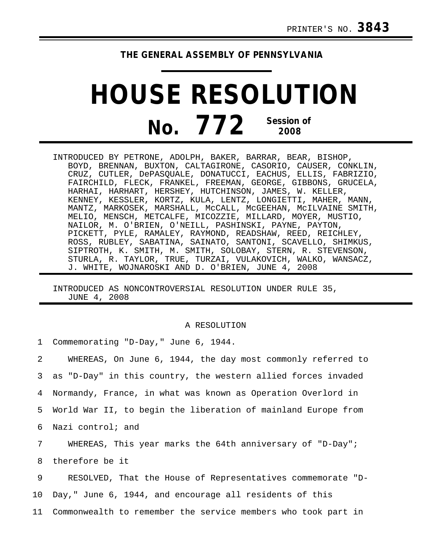## **THE GENERAL ASSEMBLY OF PENNSYLVANIA**

## **HOUSE RESOLUTION No. 772 Session of 2008**

INTRODUCED BY PETRONE, ADOLPH, BAKER, BARRAR, BEAR, BISHOP, BOYD, BRENNAN, BUXTON, CALTAGIRONE, CASORIO, CAUSER, CONKLIN, CRUZ, CUTLER, DePASQUALE, DONATUCCI, EACHUS, ELLIS, FABRIZIO, FAIRCHILD, FLECK, FRANKEL, FREEMAN, GEORGE, GIBBONS, GRUCELA, HARHAI, HARHART, HERSHEY, HUTCHINSON, JAMES, W. KELLER, KENNEY, KESSLER, KORTZ, KULA, LENTZ, LONGIETTI, MAHER, MANN, MANTZ, MARKOSEK, MARSHALL, McCALL, McGEEHAN, McILVAINE SMITH, MELIO, MENSCH, METCALFE, MICOZZIE, MILLARD, MOYER, MUSTIO, NAILOR, M. O'BRIEN, O'NEILL, PASHINSKI, PAYNE, PAYTON, PICKETT, PYLE, RAMALEY, RAYMOND, READSHAW, REED, REICHLEY, ROSS, RUBLEY, SABATINA, SAINATO, SANTONI, SCAVELLO, SHIMKUS, SIPTROTH, K. SMITH, M. SMITH, SOLOBAY, STERN, R. STEVENSON, STURLA, R. TAYLOR, TRUE, TURZAI, VULAKOVICH, WALKO, WANSACZ, J. WHITE, WOJNAROSKI AND D. O'BRIEN, JUNE 4, 2008

INTRODUCED AS NONCONTROVERSIAL RESOLUTION UNDER RULE 35, JUNE 4, 2008

## A RESOLUTION

|                | 1 Commemorating "D-Day," June 6, 1944.                           |
|----------------|------------------------------------------------------------------|
| $\overline{2}$ | WHEREAS, On June 6, 1944, the day most commonly referred to      |
|                | 3 as "D-Day" in this country, the western allied forces invaded  |
|                | 4 Normandy, France, in what was known as Operation Overlord in   |
| 5              | World War II, to begin the liberation of mainland Europe from    |
|                | 6 Nazi control; and                                              |
| 7              | WHEREAS, This year marks the 64th anniversary of "D-Day";        |
| 8              | therefore be it                                                  |
| 9              | RESOLVED, That the House of Representatives commemorate "D-      |
| 10             | Day," June 6, 1944, and encourage all residents of this          |
|                | 11 Commonwealth to remember the service members who took part in |